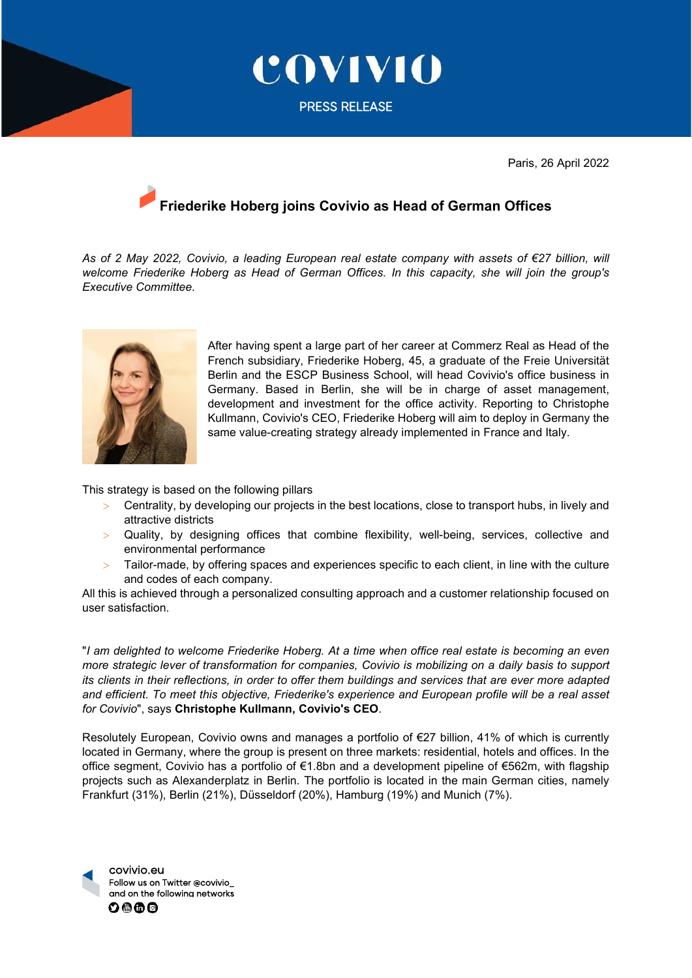

COVIVIO

PRESS RELEASE

Paris, 26 April 2022

# **Friederike Hoberg joins Covivio as Head of German Offices**

*As of 2 May 2022, Covivio, a leading European real estate company with assets of €27 billion, will welcome Friederike Hoberg as Head of German Offices. In this capacity, she will join the group's Executive Committee.*



After having spent a large part of her career at Commerz Real as Head of the French subsidiary, Friederike Hoberg, 45, a graduate of the Freie Universität Berlin and the ESCP Business School, will head Covivio's office business in Germany. Based in Berlin, she will be in charge of asset management, development and investment for the office activity. Reporting to Christophe Kullmann, Covivio's CEO, Friederike Hoberg will aim to deploy in Germany the same value-creating strategy already implemented in France and Italy.

This strategy is based on the following pillars

- > Centrality, by developing our projects in the best locations, close to transport hubs, in lively and attractive districts
- > Quality, by designing offices that combine flexibility, well-being, services, collective and environmental performance
- Tailor-made, by offering spaces and experiences specific to each client, in line with the culture and codes of each company.

All this is achieved through a personalized consulting approach and a customer relationship focused on user satisfaction.

"*I am delighted to welcome Friederike Hoberg. At a time when office real estate is becoming an even more strategic lever of transformation for companies, Covivio is mobilizing on a daily basis to support its clients in their reflections, in order to offer them buildings and services that are ever more adapted and efficient. To meet this objective, Friederike's experience and European profile will be a real asset for Covivio*", says **Christophe Kullmann, Covivio's CEO**.

Resolutely European, Covivio owns and manages a portfolio of €27 billion, 41% of which is currently located in Germany, where the group is present on three markets: residential, hotels and offices. In the office segment, Covivio has a portfolio of €1.8bn and a development pipeline of €562m, with flagship projects such as Alexanderplatz in Berlin. The portfolio is located in the main German cities, namely Frankfurt (31%), Berlin (21%), Düsseldorf (20%), Hamburg (19%) and Munich (7%).

covivio.eu Follow us on Twitter @covivio\_ and on the following networks  $O \oplus \oplus \Theta$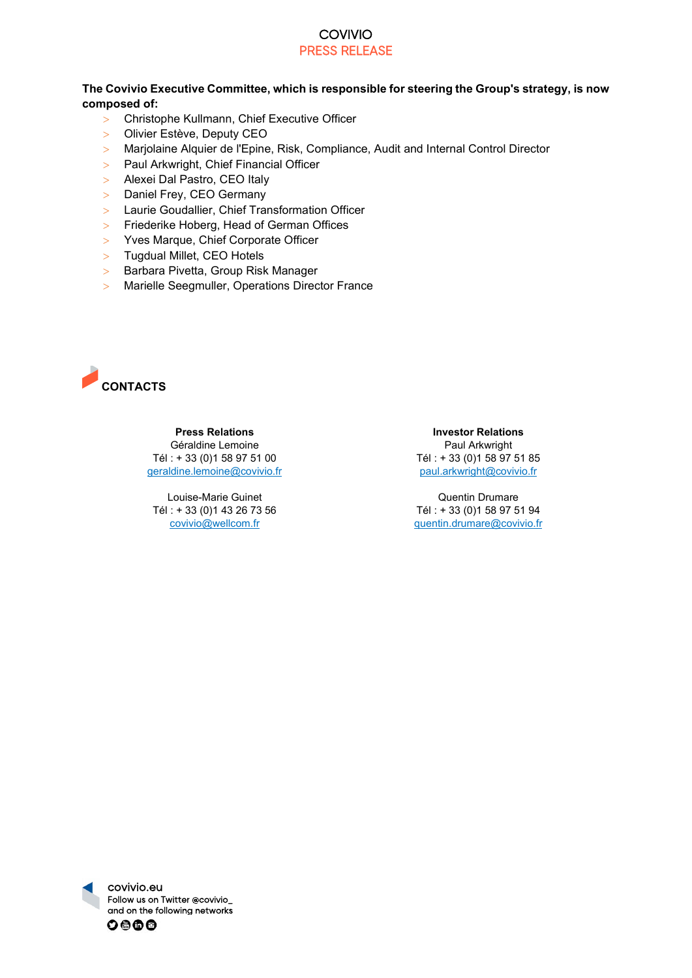### COVIVIO PRESS RELEASE

**The Covivio Executive Committee, which is responsible for steering the Group's strategy, is now composed of:** 

- > Christophe Kullmann, Chief Executive Officer
- > Olivier Estève, Deputy CEO
- > Marjolaine Alquier de l'Epine, Risk, Compliance, Audit and Internal Control Director
- > Paul Arkwright, Chief Financial Officer
- > Alexei Dal Pastro, CEO Italy
- > Daniel Frey, CEO Germany
- > Laurie Goudallier, Chief Transformation Officer
- > Friederike Hoberg, Head of German Offices
- > Yves Marque, Chief Corporate Officer
- > Tugdual Millet, CEO Hotels
- > Barbara Pivetta, Group Risk Manager
- > Marielle Seegmuller, Operations Director France



### **Press Relations**

Géraldine Lemoine Tél : + 33 (0)1 58 97 51 00 [geraldine.lemoine@covivio.fr](mailto:geraldine.lemoine@covivio.fr)

Louise-Marie Guinet Tél : + 33 (0)1 43 26 73 56 [covivio@wellcom.fr](mailto:covivio@wellcom.fr)

#### **Investor Relations** Paul Arkwright Tél : + 33 (0)1 58 97 51 85 [paul.arkwright@covivio.fr](mailto:paul.arkwright@covivio.fr)

Quentin Drumare Tél : + 33 (0)1 58 97 51 94 [quentin.drumare@covivio.fr](mailto:quentin.drumare@covivio.fr)